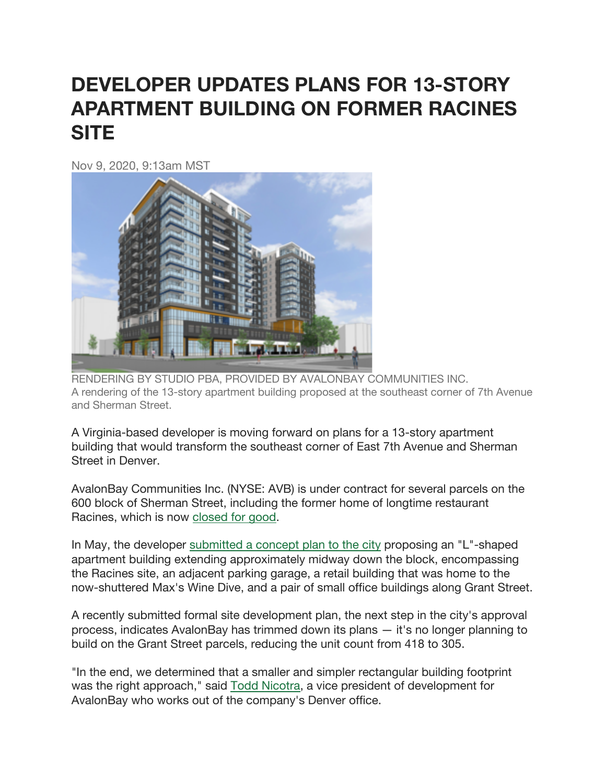## **DEVELOPER UPDATES PLANS FOR 13-STORY APARTMENT BUILDING ON FORMER RACINES SITE**

Nov 9, 2020, 9:13am MST



RENDERING BY STUDIO PBA, PROVIDED BY AVALONBAY COMMUNITIES INC. A rendering of the 13-story apartment building proposed at the southeast corner of 7th Avenue and Sherman Street.

A Virginia-based developer is moving forward on plans for a 13-story apartment building that would transform the southeast corner of East 7th Avenue and Sherman Street in Denver.

AvalonBay Communities Inc. (NYSE: AVB) is under contract for several parcels on the 600 block of Sherman Street, including the former home of longtime restaurant Racines, which is now closed for good.

In May, the developer submitted a concept plan to the city proposing an "L"-shaped apartment building extending approximately midway down the block, encompassing the Racines site, an adjacent parking garage, a retail building that was home to the now-shuttered Max's Wine Dive, and a pair of small office buildings along Grant Street.

A recently submitted formal site development plan, the next step in the city's approval process, indicates AvalonBay has trimmed down its plans — it's no longer planning to build on the Grant Street parcels, reducing the unit count from 418 to 305.

"In the end, we determined that a smaller and simpler rectangular building footprint was the right approach," said Todd Nicotra, a vice president of development for AvalonBay who works out of the company's Denver office.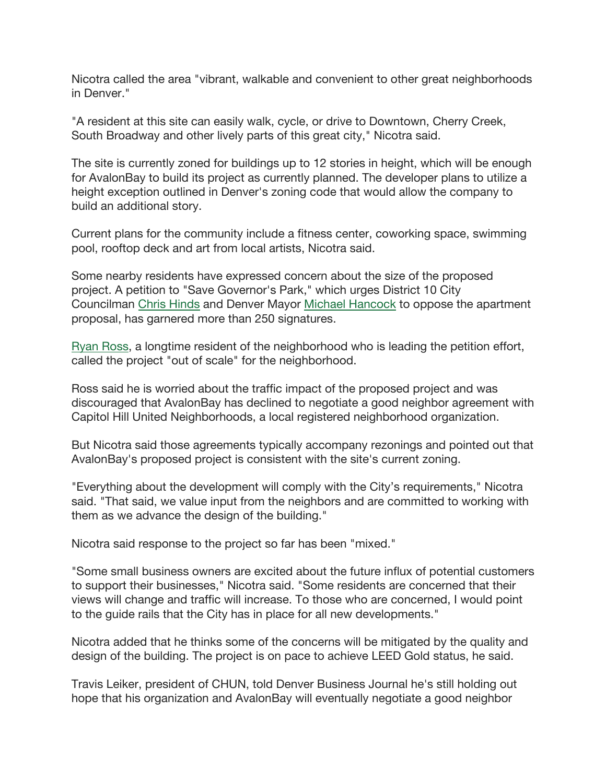Nicotra called the area "vibrant, walkable and convenient to other great neighborhoods in Denver."

"A resident at this site can easily walk, cycle, or drive to Downtown, Cherry Creek, South Broadway and other lively parts of this great city," Nicotra said.

The site is currently zoned for buildings up to 12 stories in height, which will be enough for AvalonBay to build its project as currently planned. The developer plans to utilize a height exception outlined in Denver's zoning code that would allow the company to build an additional story.

Current plans for the community include a fitness center, coworking space, swimming pool, rooftop deck and art from local artists, Nicotra said.

Some nearby residents have expressed concern about the size of the proposed project. A petition to "Save Governor's Park," which urges District 10 City Councilman Chris Hinds and Denver Mayor Michael Hancock to oppose the apartment proposal, has garnered more than 250 signatures.

Ryan Ross, a longtime resident of the neighborhood who is leading the petition effort, called the project "out of scale" for the neighborhood.

Ross said he is worried about the traffic impact of the proposed project and was discouraged that AvalonBay has declined to negotiate a good neighbor agreement with Capitol Hill United Neighborhoods, a local registered neighborhood organization.

But Nicotra said those agreements typically accompany rezonings and pointed out that AvalonBay's proposed project is consistent with the site's current zoning.

"Everything about the development will comply with the City's requirements," Nicotra said. "That said, we value input from the neighbors and are committed to working with them as we advance the design of the building."

Nicotra said response to the project so far has been "mixed."

"Some small business owners are excited about the future influx of potential customers to support their businesses," Nicotra said. "Some residents are concerned that their views will change and traffic will increase. To those who are concerned, I would point to the guide rails that the City has in place for all new developments."

Nicotra added that he thinks some of the concerns will be mitigated by the quality and design of the building. The project is on pace to achieve LEED Gold status, he said.

Travis Leiker, president of CHUN, told Denver Business Journal he's still holding out hope that his organization and AvalonBay will eventually negotiate a good neighbor